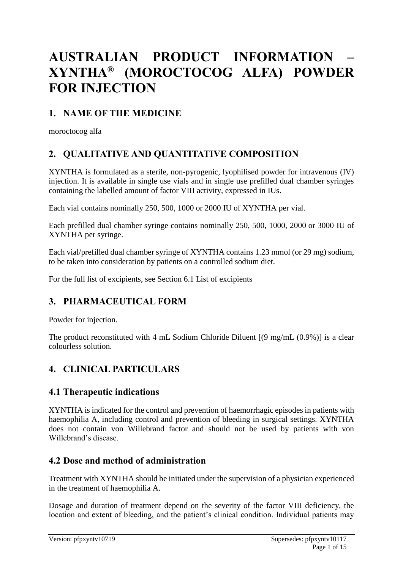# **AUSTRALIAN PRODUCT INFORMATION – XYNTHA® (MOROCTOCOG ALFA) POWDER FOR INJECTION**

# **1. NAME OF THE MEDICINE**

moroctocog alfa

# **2. QUALITATIVE AND QUANTITATIVE COMPOSITION**

XYNTHA is formulated as a sterile, non-pyrogenic, lyophilised powder for intravenous (IV) injection. It is available in single use vials and in single use prefilled dual chamber syringes containing the labelled amount of factor VIII activity, expressed in IUs.

Each vial contains nominally 250, 500, 1000 or 2000 IU of XYNTHA per vial.

Each prefilled dual chamber syringe contains nominally 250, 500, 1000, 2000 or 3000 IU of XYNTHA per syringe.

Each vial/prefilled dual chamber syringe of XYNTHA contains 1.23 mmol (or 29 mg) sodium, to be taken into consideration by patients on a controlled sodium diet.

For the full list of excipients, see Section 6.1 List of excipients

# **3. PHARMACEUTICAL FORM**

Powder for injection.

The product reconstituted with 4 mL Sodium Chloride Diluent [(9 mg/mL (0.9%)] is a clear colourless solution.

# **4. CLINICAL PARTICULARS**

### **4.1 Therapeutic indications**

XYNTHA is indicated for the control and prevention of haemorrhagic episodes in patients with haemophilia A, including control and prevention of bleeding in surgical settings. XYNTHA does not contain von Willebrand factor and should not be used by patients with von Willebrand's disease.

### **4.2 Dose and method of administration**

Treatment with XYNTHA should be initiated under the supervision of a physician experienced in the treatment of haemophilia A.

Dosage and duration of treatment depend on the severity of the factor VIII deficiency, the location and extent of bleeding, and the patient's clinical condition. Individual patients may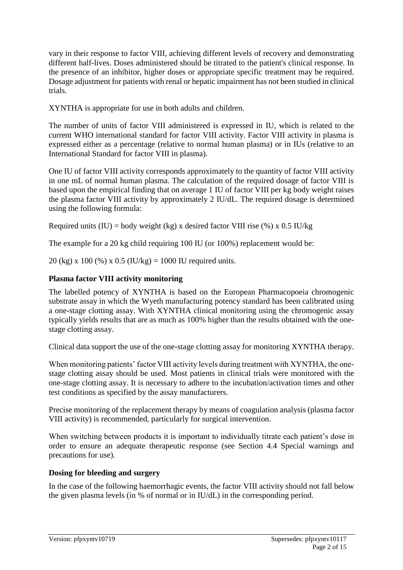vary in their response to factor VIII, achieving different levels of recovery and demonstrating different half-lives. Doses administered should be titrated to the patient's clinical response. In the presence of an inhibitor, higher doses or appropriate specific treatment may be required. Dosage adjustment for patients with renal or hepatic impairment has not been studied in clinical trials.

XYNTHA is appropriate for use in both adults and children.

The number of units of factor VIII administered is expressed in IU, which is related to the current WHO international standard for factor VIII activity. Factor VIII activity in plasma is expressed either as a percentage (relative to normal human plasma) or in IUs (relative to an International Standard for factor VIII in plasma).

One IU of factor VIII activity corresponds approximately to the quantity of factor VIII activity in one mL of normal human plasma. The calculation of the required dosage of factor VIII is based upon the empirical finding that on average 1 IU of factor VIII per kg body weight raises the plasma factor VIII activity by approximately 2 IU/dL. The required dosage is determined using the following formula:

Required units (IU) = body weight (kg) x desired factor VIII rise (%) x 0.5 IU/kg

The example for a 20 kg child requiring 100 IU (or 100%) replacement would be:

20 (kg) x 100 (%) x 0.5 (IU/kg) = 1000 IU required units.

### **Plasma factor VIII activity monitoring**

The labelled potency of XYNTHA is based on the European Pharmacopoeia chromogenic substrate assay in which the Wyeth manufacturing potency standard has been calibrated using a one-stage clotting assay. With XYNTHA clinical monitoring using the chromogenic assay typically yields results that are as much as 100% higher than the results obtained with the onestage clotting assay.

Clinical data support the use of the one-stage clotting assay for monitoring XYNTHA therapy.

When monitoring patients' factor VIII activity levels during treatment with XYNTHA, the onestage clotting assay should be used. Most patients in clinical trials were monitored with the one-stage clotting assay. It is necessary to adhere to the incubation/activation times and other test conditions as specified by the assay manufacturers.

Precise monitoring of the replacement therapy by means of coagulation analysis (plasma factor VIII activity) is recommended, particularly for surgical intervention.

When switching between products it is important to individually titrate each patient's dose in order to ensure an adequate therapeutic response (see Section 4.4 Special warnings and precautions for use).

### **Dosing for bleeding and surgery**

In the case of the following haemorrhagic events, the factor VIII activity should not fall below the given plasma levels (in % of normal or in IU/dL) in the corresponding period.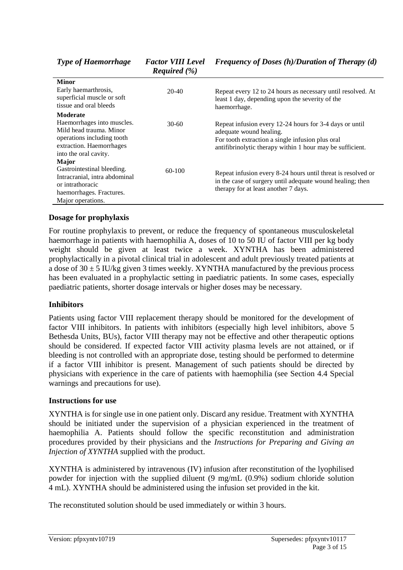*Type of Haemorrhage Factor VIII Level* 

| <b>Minor</b>                                                                                                                             |          |                                                                                                                                                                                                     |  |  |  |
|------------------------------------------------------------------------------------------------------------------------------------------|----------|-----------------------------------------------------------------------------------------------------------------------------------------------------------------------------------------------------|--|--|--|
| Early haemarthrosis,<br>superficial muscle or soft<br>tissue and oral bleeds                                                             | 20-40    | Repeat every 12 to 24 hours as necessary until resolved. At<br>least 1 day, depending upon the severity of the<br>haemorrhage.                                                                      |  |  |  |
| <b>Moderate</b>                                                                                                                          |          |                                                                                                                                                                                                     |  |  |  |
| Haemorrhages into muscles.<br>Mild head trauma. Minor<br>operations including tooth<br>extraction. Haemorrhages<br>into the oral cavity. | $30-60$  | Repeat infusion every 12-24 hours for 3-4 days or until<br>adequate wound healing.<br>For tooth extraction a single infusion plus oral<br>antifibrinolytic therapy within 1 hour may be sufficient. |  |  |  |
| <b>Major</b>                                                                                                                             |          |                                                                                                                                                                                                     |  |  |  |
| Gastrointestinal bleeding.                                                                                                               | $60-100$ | Repeat infusion every 8-24 hours until threat is resolved or                                                                                                                                        |  |  |  |
| Intracranial, intra abdominal<br>or intrathoracic<br>haemorrhages. Fractures.<br>Major operations.                                       |          | in the case of surgery until adequate wound healing; then<br>therapy for at least another 7 days.                                                                                                   |  |  |  |

#### **Dosage for prophylaxis**

For routine prophylaxis to prevent, or reduce the frequency of spontaneous musculoskeletal haemorrhage in patients with haemophilia A, doses of 10 to 50 IU of factor VIII per kg body weight should be given at least twice a week. XYNTHA has been administered prophylactically in a pivotal clinical trial in adolescent and adult previously treated patients at a dose of  $30 \pm 5$  IU/kg given 3 times weekly. XYNTHA manufactured by the previous process has been evaluated in a prophylactic setting in paediatric patients. In some cases, especially paediatric patients, shorter dosage intervals or higher doses may be necessary.

#### **Inhibitors**

Patients using factor VIII replacement therapy should be monitored for the development of factor VIII inhibitors. In patients with inhibitors (especially high level inhibitors, above 5 Bethesda Units, BUs), factor VIII therapy may not be effective and other therapeutic options should be considered. If expected factor VIII activity plasma levels are not attained, or if bleeding is not controlled with an appropriate dose, testing should be performed to determine if a factor VIII inhibitor is present. Management of such patients should be directed by physicians with experience in the care of patients with haemophilia (see Section 4.4 Special warnings and precautions for use).

#### **Instructions for use**

XYNTHA is for single use in one patient only. Discard any residue. Treatment with XYNTHA should be initiated under the supervision of a physician experienced in the treatment of haemophilia A. Patients should follow the specific reconstitution and administration procedures provided by their physicians and the *Instructions for Preparing and Giving an Injection of XYNTHA* supplied with the product.

XYNTHA is administered by intravenous (IV) infusion after reconstitution of the lyophilised powder for injection with the supplied diluent (9 mg/mL (0.9%) sodium chloride solution 4 mL). XYNTHA should be administered using the infusion set provided in the kit.

The reconstituted solution should be used immediately or within 3 hours.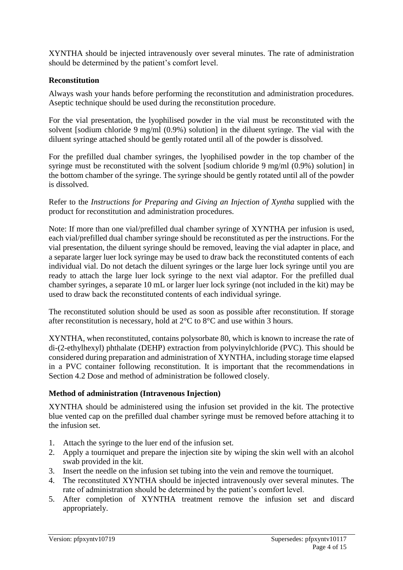XYNTHA should be injected intravenously over several minutes. The rate of administration should be determined by the patient's comfort level.

#### **Reconstitution**

Always wash your hands before performing the reconstitution and administration procedures. Aseptic technique should be used during the reconstitution procedure.

For the vial presentation, the lyophilised powder in the vial must be reconstituted with the solvent [sodium chloride 9 mg/ml (0.9%) solution] in the diluent syringe. The vial with the diluent syringe attached should be gently rotated until all of the powder is dissolved.

For the prefilled dual chamber syringes, the lyophilised powder in the top chamber of the syringe must be reconstituted with the solvent [sodium chloride 9 mg/ml (0.9%) solution] in the bottom chamber of the syringe. The syringe should be gently rotated until all of the powder is dissolved.

Refer to the *Instructions for Preparing and Giving an Injection of Xyntha* supplied with the product for reconstitution and administration procedures.

Note: If more than one vial/prefilled dual chamber syringe of XYNTHA per infusion is used, each vial/prefilled dual chamber syringe should be reconstituted as per the instructions. For the vial presentation, the diluent syringe should be removed, leaving the vial adapter in place, and a separate larger luer lock syringe may be used to draw back the reconstituted contents of each individual vial. Do not detach the diluent syringes or the large luer lock syringe until you are ready to attach the large luer lock syringe to the next vial adaptor. For the prefilled dual chamber syringes, a separate 10 mL or larger luer lock syringe (not included in the kit) may be used to draw back the reconstituted contents of each individual syringe.

The reconstituted solution should be used as soon as possible after reconstitution. If storage after reconstitution is necessary, hold at 2°C to 8°C and use within 3 hours.

XYNTHA, when reconstituted, contains polysorbate 80, which is known to increase the rate of di-(2-ethylhexyl) phthalate (DEHP) extraction from polyvinylchloride (PVC). This should be considered during preparation and administration of XYNTHA, including storage time elapsed in a PVC container following reconstitution. It is important that the recommendations in Section 4.2 Dose and method of administration be followed closely.

#### **Method of administration (Intravenous Injection)**

XYNTHA should be administered using the infusion set provided in the kit. The protective blue vented cap on the prefilled dual chamber syringe must be removed before attaching it to the infusion set.

- 1. Attach the syringe to the luer end of the infusion set.
- 2. Apply a tourniquet and prepare the injection site by wiping the skin well with an alcohol swab provided in the kit.
- 3. Insert the needle on the infusion set tubing into the vein and remove the tourniquet.
- 4. The reconstituted XYNTHA should be injected intravenously over several minutes. The rate of administration should be determined by the patient's comfort level.
- 5. After completion of XYNTHA treatment remove the infusion set and discard appropriately.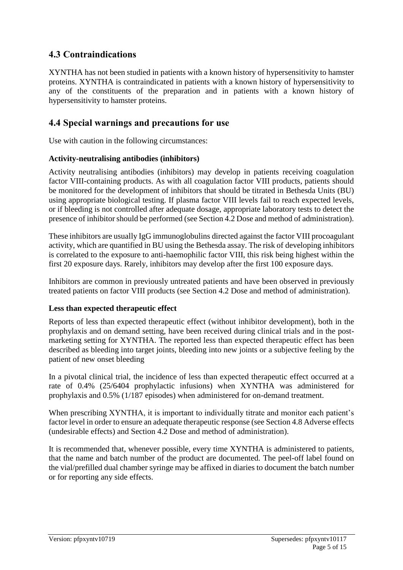### **4.3 Contraindications**

XYNTHA has not been studied in patients with a known history of hypersensitivity to hamster proteins. XYNTHA is contraindicated in patients with a known history of hypersensitivity to any of the constituents of the preparation and in patients with a known history of hypersensitivity to hamster proteins.

### **4.4 Special warnings and precautions for use**

Use with caution in the following circumstances:

#### **Activity-neutralising antibodies (inhibitors)**

Activity neutralising antibodies (inhibitors) may develop in patients receiving coagulation factor VIII-containing products. As with all coagulation factor VIII products, patients should be monitored for the development of inhibitors that should be titrated in Bethesda Units (BU) using appropriate biological testing. If plasma factor VIII levels fail to reach expected levels, or if bleeding is not controlled after adequate dosage, appropriate laboratory tests to detect the presence of inhibitor should be performed (see Section 4.2 Dose and method of administration).

These inhibitors are usually IgG immunoglobulins directed against the factor VIII procoagulant activity, which are quantified in BU using the Bethesda assay. The risk of developing inhibitors is correlated to the exposure to anti-haemophilic factor VIII, this risk being highest within the first 20 exposure days. Rarely, inhibitors may develop after the first 100 exposure days.

Inhibitors are common in previously untreated patients and have been observed in previously treated patients on factor VIII products (see Section 4.2 Dose and method of administration).

#### **Less than expected therapeutic effect**

Reports of less than expected therapeutic effect (without inhibitor development), both in the prophylaxis and on demand setting, have been received during clinical trials and in the postmarketing setting for XYNTHA. The reported less than expected therapeutic effect has been described as bleeding into target joints, bleeding into new joints or a subjective feeling by the patient of new onset bleeding

In a pivotal clinical trial, the incidence of less than expected therapeutic effect occurred at a rate of 0.4% (25/6404 prophylactic infusions) when XYNTHA was administered for prophylaxis and 0.5% (1/187 episodes) when administered for on-demand treatment.

When prescribing XYNTHA, it is important to individually titrate and monitor each patient's factor level in order to ensure an adequate therapeutic response (see Section 4.8 Adverse effects (undesirable effects) and Section 4.2 Dose and method of administration).

It is recommended that, whenever possible, every time XYNTHA is administered to patients, that the name and batch number of the product are documented. The peel-off label found on the vial/prefilled dual chamber syringe may be affixed in diaries to document the batch number or for reporting any side effects.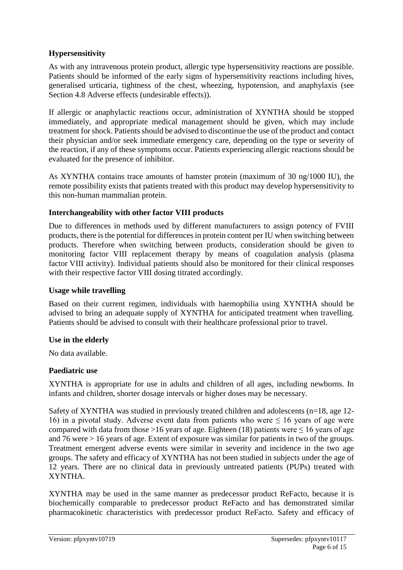#### **Hypersensitivity**

As with any intravenous protein product, allergic type hypersensitivity reactions are possible. Patients should be informed of the early signs of hypersensitivity reactions including hives, generalised urticaria, tightness of the chest, wheezing, hypotension, and anaphylaxis (see Section 4.8 Adverse effects (undesirable effects)).

If allergic or anaphylactic reactions occur, administration of XYNTHA should be stopped immediately, and appropriate medical management should be given, which may include treatment for shock. Patients should be advised to discontinue the use of the product and contact their physician and/or seek immediate emergency care, depending on the type or severity of the reaction, if any of these symptoms occur. Patients experiencing allergic reactions should be evaluated for the presence of inhibitor.

As XYNTHA contains trace amounts of hamster protein (maximum of 30 ng/1000 IU), the remote possibility exists that patients treated with this product may develop hypersensitivity to this non-human mammalian protein.

#### **Interchangeability with other factor VIII products**

Due to differences in methods used by different manufacturers to assign potency of FVIII products, there is the potential for differences in protein content per IU when switching between products. Therefore when switching between products, consideration should be given to monitoring factor VIII replacement therapy by means of coagulation analysis (plasma factor VIII activity). Individual patients should also be monitored for their clinical responses with their respective factor VIII dosing titrated accordingly.

#### **Usage while travelling**

Based on their current regimen, individuals with haemophilia using XYNTHA should be advised to bring an adequate supply of XYNTHA for anticipated treatment when travelling. Patients should be advised to consult with their healthcare professional prior to travel.

#### **Use in the elderly**

No data available.

#### **Paediatric use**

XYNTHA is appropriate for use in adults and children of all ages, including newborns. In infants and children, shorter dosage intervals or higher doses may be necessary.

Safety of XYNTHA was studied in previously treated children and adolescents (n=18, age 12- 16) in a pivotal study. Adverse event data from patients who were  $\leq 16$  years of age were compared with data from those >16 years of age. Eighteen (18) patients were  $\leq 16$  years of age and 76 were > 16 years of age. Extent of exposure was similar for patients in two of the groups. Treatment emergent adverse events were similar in severity and incidence in the two age groups. The safety and efficacy of XYNTHA has not been studied in subjects under the age of 12 years. There are no clinical data in previously untreated patients (PUPs) treated with XYNTHA.

XYNTHA may be used in the same manner as predecessor product ReFacto, because it is biochemically comparable to predecessor product ReFacto and has demonstrated similar pharmacokinetic characteristics with predecessor product ReFacto. Safety and efficacy of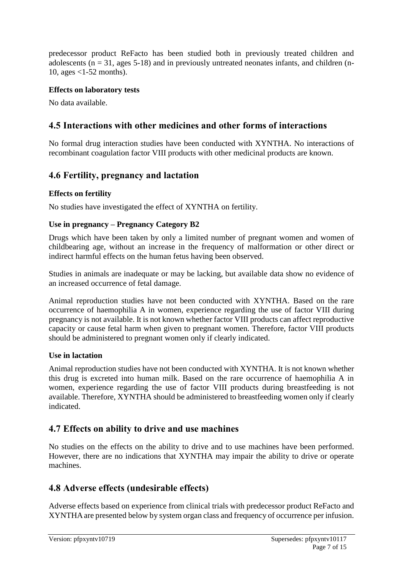predecessor product ReFacto has been studied both in previously treated children and adolescents ( $n = 31$ , ages 5-18) and in previously untreated neonates infants, and children (n-10, ages <1-52 months).

#### **Effects on laboratory tests**

No data available.

# **4.5 Interactions with other medicines and other forms of interactions**

No formal drug interaction studies have been conducted with XYNTHA. No interactions of recombinant coagulation factor VIII products with other medicinal products are known.

# **4.6 Fertility, pregnancy and lactation**

### **Effects on fertility**

No studies have investigated the effect of XYNTHA on fertility.

### **Use in pregnancy – Pregnancy Category B2**

Drugs which have been taken by only a limited number of pregnant women and women of childbearing age, without an increase in the frequency of malformation or other direct or indirect harmful effects on the human fetus having been observed.

Studies in animals are inadequate or may be lacking, but available data show no evidence of an increased occurrence of fetal damage.

Animal reproduction studies have not been conducted with XYNTHA. Based on the rare occurrence of haemophilia A in women, experience regarding the use of factor VIII during pregnancy is not available. It is not known whether factor VIII products can affect reproductive capacity or cause fetal harm when given to pregnant women. Therefore, factor VIII products should be administered to pregnant women only if clearly indicated.

### **Use in lactation**

Animal reproduction studies have not been conducted with XYNTHA. It is not known whether this drug is excreted into human milk. Based on the rare occurrence of haemophilia A in women, experience regarding the use of factor VIII products during breastfeeding is not available. Therefore, XYNTHA should be administered to breastfeeding women only if clearly indicated.

### **4.7 Effects on ability to drive and use machines**

No studies on the effects on the ability to drive and to use machines have been performed. However, there are no indications that XYNTHA may impair the ability to drive or operate machines.

# **4.8 Adverse effects (undesirable effects)**

Adverse effects based on experience from clinical trials with predecessor product ReFacto and XYNTHAare presented below by system organ class and frequency of occurrence per infusion.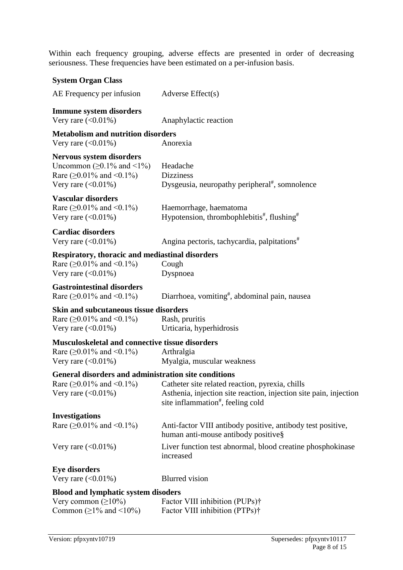Within each frequency grouping, adverse effects are presented in order of decreasing seriousness. These frequencies have been estimated on a per-infusion basis.

| <b>System Organ Class</b>                                                                                                      |                                                                                                                                                                       |  |  |
|--------------------------------------------------------------------------------------------------------------------------------|-----------------------------------------------------------------------------------------------------------------------------------------------------------------------|--|--|
| AE Frequency per infusion                                                                                                      | Adverse Effect(s)                                                                                                                                                     |  |  |
| <b>Immune system disorders</b><br>Very rare $(<0.01\%)$                                                                        | Anaphylactic reaction                                                                                                                                                 |  |  |
| <b>Metabolism and nutrition disorders</b><br>Very rare $(<0.01\%)$                                                             | Anorexia                                                                                                                                                              |  |  |
| <b>Nervous system disorders</b><br>Uncommon ( $\geq$ 0.1% and <1%)<br>Rare ( $\geq 0.01\%$ and <0.1%)<br>Very rare $(<0.01\%)$ | Headache<br><b>Dizziness</b><br>Dysgeusia, neuropathy peripheral <sup>#</sup> , somnolence                                                                            |  |  |
| <b>Vascular disorders</b><br>Rare ( $\geq 0.01\%$ and <0.1%)<br>Very rare $(<0.01\%)$                                          | Haemorrhage, haematoma<br>Hypotension, thrombophlebitis <sup>#</sup> , flushing <sup>#</sup>                                                                          |  |  |
| <b>Cardiac disorders</b><br>Very rare $(<0.01\%)$                                                                              | Angina pectoris, tachycardia, palpitations <sup>#</sup>                                                                                                               |  |  |
| <b>Respiratory, thoracic and mediastinal disorders</b><br>Rare ( $\geq 0.01\%$ and <0.1%)<br>Very rare $(<0.01\%)$             | Cough<br>Dyspnoea                                                                                                                                                     |  |  |
| <b>Gastrointestinal disorders</b><br>Rare ( $\geq 0.01\%$ and <0.1%)                                                           | Diarrhoea, vomiting <sup>#</sup> , abdominal pain, nausea                                                                                                             |  |  |
| <b>Skin and subcutaneous tissue disorders</b><br>Rare ( $\geq 0.01\%$ and <0.1%)<br>Very rare $(<0.01\%)$                      | Rash, pruritis<br>Urticaria, hyperhidrosis                                                                                                                            |  |  |
| <b>Musculoskeletal and connective tissue disorders</b><br>Rare ( $\geq 0.01\%$ and <0.1%)<br>Very rare $(<0.01\%)$             | Arthralgia<br>Myalgia, muscular weakness                                                                                                                              |  |  |
| <b>General disorders and administration site conditions</b><br>Rare ( $\geq 0.01\%$ and <0.1%)<br>Very rare $(<0.01\%)$        | Catheter site related reaction, pyrexia, chills<br>Asthenia, injection site reaction, injection site pain, injection<br>site inflammation <sup>#</sup> , feeling cold |  |  |
| <b>Investigations</b><br>Rare ( $\geq 0.01\%$ and <0.1%)                                                                       | Anti-factor VIII antibody positive, antibody test positive,<br>human anti-mouse antibody positive§                                                                    |  |  |
| Very rare $(<0.01\%)$                                                                                                          | Liver function test abnormal, blood creatine phosphokinase<br>increased                                                                                               |  |  |
| <b>Eye disorders</b><br>Very rare $(<0.01\%)$                                                                                  | <b>Blurred</b> vision                                                                                                                                                 |  |  |
| <b>Blood and lymphatic system disoders</b><br>Very common $(\geq 10\%)$<br>Common ( $\geq$ 1% and <10%)                        | Factor VIII inhibition (PUPs)†<br>Factor VIII inhibition (PTPs)†                                                                                                      |  |  |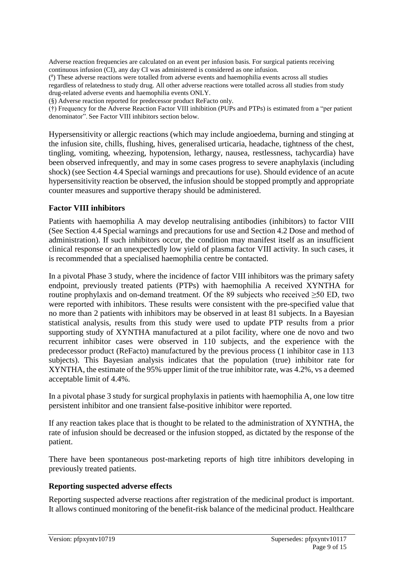Adverse reaction frequencies are calculated on an event per infusion basis. For surgical patients receiving continuous infusion (CI), any day CI was administered is considered as one infusion.

( # ) These adverse reactions were totalled from adverse events and haemophilia events across all studies regardless of relatedness to study drug. All other adverse reactions were totalled across all studies from study drug-related adverse events and haemophilia events ONLY.

(§) Adverse reaction reported for predecessor product ReFacto only.

(†) Frequency for the Adverse Reaction Factor VIII inhibition (PUPs and PTPs) is estimated from a "per patient denominator". See Factor VIII inhibitors section below.

Hypersensitivity or allergic reactions (which may include angioedema, burning and stinging at the infusion site, chills, flushing, hives, generalised urticaria, headache, tightness of the chest, tingling, vomiting, wheezing, hypotension, lethargy, nausea, restlessness, tachycardia) have been observed infrequently, and may in some cases progress to severe anaphylaxis (including shock) (see Section 4.4 Special warnings and precautions for use). Should evidence of an acute hypersensitivity reaction be observed, the infusion should be stopped promptly and appropriate counter measures and supportive therapy should be administered.

#### **Factor VIII inhibitors**

Patients with haemophilia A may develop neutralising antibodies (inhibitors) to factor VIII (See Section 4.4 Special warnings and precautions for use and Section 4.2 Dose and method of administration). If such inhibitors occur, the condition may manifest itself as an insufficient clinical response or an unexpectedly low yield of plasma factor VIII activity. In such cases, it is recommended that a specialised haemophilia centre be contacted.

In a pivotal Phase 3 study, where the incidence of factor VIII inhibitors was the primary safety endpoint, previously treated patients (PTPs) with haemophilia A received XYNTHA for routine prophylaxis and on-demand treatment. Of the 89 subjects who received ≥50 ED, two were reported with inhibitors. These results were consistent with the pre-specified value that no more than 2 patients with inhibitors may be observed in at least 81 subjects. In a Bayesian statistical analysis, results from this study were used to update PTP results from a prior supporting study of XYNTHA manufactured at a pilot facility, where one de novo and two recurrent inhibitor cases were observed in 110 subjects, and the experience with the predecessor product (ReFacto) manufactured by the previous process (1 inhibitor case in 113 subjects). This Bayesian analysis indicates that the population (true) inhibitor rate for XYNTHA, the estimate of the 95% upper limit of the true inhibitor rate, was 4.2%, vs a deemed acceptable limit of 4.4%.

In a pivotal phase 3 study for surgical prophylaxis in patients with haemophilia A, one low titre persistent inhibitor and one transient false-positive inhibitor were reported.

If any reaction takes place that is thought to be related to the administration of XYNTHA, the rate of infusion should be decreased or the infusion stopped, as dictated by the response of the patient.

There have been spontaneous post-marketing reports of high titre inhibitors developing in previously treated patients.

#### **Reporting suspected adverse effects**

Reporting suspected adverse reactions after registration of the medicinal product is important. It allows continued monitoring of the benefit-risk balance of the medicinal product. Healthcare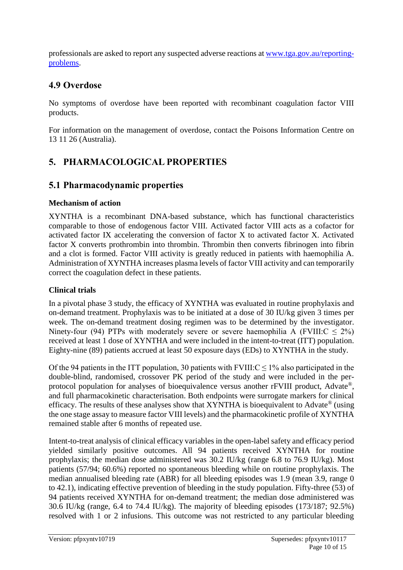professionals are asked to report any suspected adverse reactions at [www.tga.gov.au/reporting](http://www.tga.gov.au/reporting-problems)[problems.](http://www.tga.gov.au/reporting-problems)

# **4.9 Overdose**

No symptoms of overdose have been reported with recombinant coagulation factor VIII products.

For information on the management of overdose, contact the Poisons Information Centre on 13 11 26 (Australia).

# **5. PHARMACOLOGICAL PROPERTIES**

### **5.1 Pharmacodynamic properties**

#### **Mechanism of action**

XYNTHA is a recombinant DNA-based substance, which has functional characteristics comparable to those of endogenous factor VIII. Activated factor VIII acts as a cofactor for activated factor IX accelerating the conversion of factor X to activated factor X. Activated factor X converts prothrombin into thrombin. Thrombin then converts fibrinogen into fibrin and a clot is formed. Factor VIII activity is greatly reduced in patients with haemophilia A. Administration of XYNTHA increases plasma levels of factor VIII activity and can temporarily correct the coagulation defect in these patients.

### **Clinical trials**

In a pivotal phase 3 study, the efficacy of XYNTHA was evaluated in routine prophylaxis and on-demand treatment. Prophylaxis was to be initiated at a dose of 30 IU/kg given 3 times per week. The on-demand treatment dosing regimen was to be determined by the investigator. Ninety-four (94) PTPs with moderately severe or severe haemophilia A (FVIII: $C \le 2\%$ ) received at least 1 dose of XYNTHA and were included in the intent-to-treat (ITT) population. Eighty-nine (89) patients accrued at least 50 exposure days (EDs) to XYNTHA in the study.

Of the 94 patients in the ITT population, 30 patients with  $FVIII:C \leq 1\%$  also participated in the double-blind, randomised, crossover PK period of the study and were included in the perprotocol population for analyses of bioequivalence versus another rFVIII product, Advate®, and full pharmacokinetic characterisation. Both endpoints were surrogate markers for clinical efficacy. The results of these analyses show that XYNTHA is bioequivalent to Advate® (using the one stage assay to measure factor VIII levels) and the pharmacokinetic profile of XYNTHA remained stable after 6 months of repeated use.

Intent-to-treat analysis of clinical efficacy variables in the open-label safety and efficacy period yielded similarly positive outcomes. All 94 patients received XYNTHA for routine prophylaxis; the median dose administered was 30.2 IU/kg (range 6.8 to 76.9 IU/kg). Most patients (57/94; 60.6%) reported no spontaneous bleeding while on routine prophylaxis. The median annualised bleeding rate (ABR) for all bleeding episodes was 1.9 (mean 3.9, range 0 to 42.1), indicating effective prevention of bleeding in the study population. Fifty-three (53) of 94 patients received XYNTHA for on-demand treatment; the median dose administered was 30.6 IU/kg (range, 6.4 to 74.4 IU/kg). The majority of bleeding episodes (173/187; 92.5%) resolved with 1 or 2 infusions. This outcome was not restricted to any particular bleeding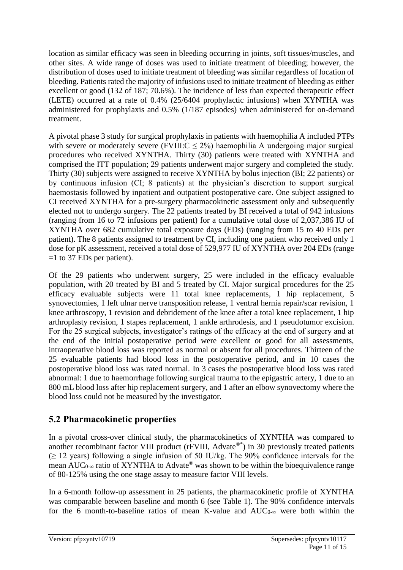location as similar efficacy was seen in bleeding occurring in joints, soft tissues/muscles, and other sites. A wide range of doses was used to initiate treatment of bleeding; however, the distribution of doses used to initiate treatment of bleeding was similar regardless of location of bleeding. Patients rated the majority of infusions used to initiate treatment of bleeding as either excellent or good (132 of 187; 70.6%). The incidence of less than expected therapeutic effect (LETE) occurred at a rate of 0.4% (25/6404 prophylactic infusions) when XYNTHA was administered for prophylaxis and 0.5% (1/187 episodes) when administered for on-demand treatment.

A pivotal phase 3 study for surgical prophylaxis in patients with haemophilia A included PTPs with severe or moderately severe (FVIII: $C \le 2\%$ ) haemophilia A undergoing major surgical procedures who received XYNTHA. Thirty (30) patients were treated with XYNTHA and comprised the ITT population; 29 patients underwent major surgery and completed the study. Thirty (30) subjects were assigned to receive XYNTHA by bolus injection (BI; 22 patients) or by continuous infusion (CI; 8 patients) at the physician's discretion to support surgical haemostasis followed by inpatient and outpatient postoperative care. One subject assigned to CI received XYNTHA for a pre-surgery pharmacokinetic assessment only and subsequently elected not to undergo surgery. The 22 patients treated by BI received a total of 942 infusions (ranging from 16 to 72 infusions per patient) for a cumulative total dose of 2,037,386 IU of XYNTHA over 682 cumulative total exposure days (EDs) (ranging from 15 to 40 EDs per patient). The 8 patients assigned to treatment by CI, including one patient who received only 1 dose for pK assessment, received a total dose of 529,977 IU of XYNTHA over 204 EDs (range =1 to 37 EDs per patient).

Of the 29 patients who underwent surgery, 25 were included in the efficacy evaluable population, with 20 treated by BI and 5 treated by CI. Major surgical procedures for the 25 efficacy evaluable subjects were 11 total knee replacements, 1 hip replacement, 5 synovectomies, 1 left ulnar nerve transposition release, 1 ventral hernia repair/scar revision, 1 knee arthroscopy, 1 revision and debridement of the knee after a total knee replacement, 1 hip arthroplasty revision, 1 stapes replacement, 1 ankle arthrodesis, and 1 pseudotumor excision. For the 25 surgical subjects, investigator's ratings of the efficacy at the end of surgery and at the end of the initial postoperative period were excellent or good for all assessments, intraoperative blood loss was reported as normal or absent for all procedures. Thirteen of the 25 evaluable patients had blood loss in the postoperative period, and in 10 cases the postoperative blood loss was rated normal. In 3 cases the postoperative blood loss was rated abnormal: 1 due to haemorrhage following surgical trauma to the epigastric artery, 1 due to an 800 mL blood loss after hip replacement surgery, and 1 after an elbow synovectomy where the blood loss could not be measured by the investigator.

### **5.2 Pharmacokinetic properties**

In a pivotal cross-over clinical study, the pharmacokinetics of XYNTHA was compared to another recombinant factor VIII product (rFVIII, Advate®\*) in 30 previously treated patients (≥ 12 years) following a single infusion of 50 IU/kg. The 90% confidence intervals for the mean  $AUC_{0-\infty}$  ratio of XYNTHA to Advate<sup>®</sup> was shown to be within the bioequivalence range of 80-125% using the one stage assay to measure factor VIII levels.

In a 6-month follow-up assessment in 25 patients, the pharmacokinetic profile of XYNTHA was comparable between baseline and month 6 (see Table 1). The 90% confidence intervals for the 6 month-to-baseline ratios of mean K-value and  $AUC_{0-\infty}$  were both within the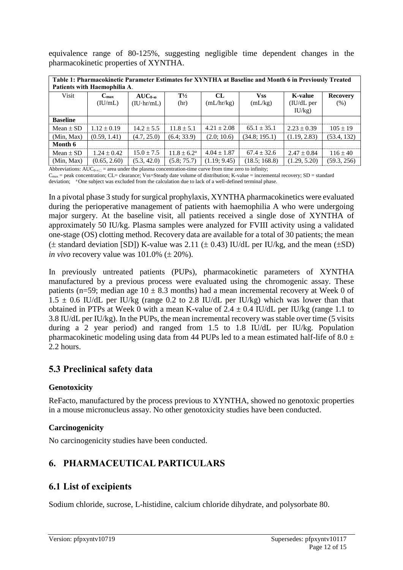equivalence range of 80-125%, suggesting negligible time dependent changes in the pharmacokinetic properties of XYNTHA.

| Table 1: Pharmacokinetic Parameter Estimates for XYNTHA at Baseline and Month 6 in Previously Treated |                 |                  |                        |                 |                 |                       |                 |  |
|-------------------------------------------------------------------------------------------------------|-----------------|------------------|------------------------|-----------------|-----------------|-----------------------|-----------------|--|
| Patients with Haemophilia A.                                                                          |                 |                  |                        |                 |                 |                       |                 |  |
| Visit                                                                                                 | $C_{\rm max}$   | $AUC_{0-\infty}$ | $T\frac{1}{2}$         | CL              | <b>Vss</b>      | <b>K-value</b>        | <b>Recovery</b> |  |
|                                                                                                       | (IU/mL)         | (IU·hr/mL)       | (hr)                   | (mL/hr/kg)      | (mL/kg)         | (IU/dL <sub>p</sub> ) | (% )            |  |
|                                                                                                       |                 |                  |                        |                 |                 | IU/kg)                |                 |  |
| <b>Baseline</b>                                                                                       |                 |                  |                        |                 |                 |                       |                 |  |
| Mean $\pm$ SD                                                                                         | $1.12 \pm 0.19$ | $14.2 \pm 5.5$   | $11.8 \pm 5.1$         | $4.21 \pm 2.08$ | $65.1 \pm 35.1$ | $2.23 \pm 0.39$       | $105 \pm 19$    |  |
| (Min, Max)                                                                                            | (0.59, 1.41)    | (4.7, 25.0)      | (6.4; 33.9)            | (2.0; 10.6)     | (34.8; 195.1)   | (1.19, 2.83)          | (53.4, 132)     |  |
| Month 6                                                                                               |                 |                  |                        |                 |                 |                       |                 |  |
| Mean $\pm$ SD                                                                                         | $1.24 \pm 0.42$ | $15.0 \pm 7.5$   | $11.8 \pm 6.2^{\circ}$ | $4.04 \pm 1.87$ | $67.4 + 32.6$   | $2.47 \pm 0.84$       | $116 \pm 40$    |  |
| (Min, Max)                                                                                            | (0.65, 2.60)    | (5.3, 42.0)      | (5.8; 75.7)            | (1.19; 9.45)    | (18.5; 168.8)   | (1.29, 5.20)          | (59.3, 256)     |  |

Abbreviations:  $AUC_{0\infty}$  = area under the plasma concentration-time curve from time zero to infinity;

 $C_{\text{max}}$  = peak concentration; CL= clearance; Vss=Steady date volume of distribution; K-value = incremental recovery; SD = standard deviation; <sup>a</sup>One subject was excluded from the calculation due to lack of a well-defined terminal phase.

In a pivotal phase 3 study for surgical prophylaxis, XYNTHA pharmacokinetics were evaluated during the perioperative management of patients with haemophilia A who were undergoing major surgery. At the baseline visit, all patients received a single dose of XYNTHA of approximately 50 IU/kg. Plasma samples were analyzed for FVIII activity using a validated one-stage (OS) clotting method. Recovery data are available for a total of 30 patients; the mean  $(\pm$  standard deviation [SD]) K-value was 2.11 ( $\pm$  0.43) IU/dL per IU/kg, and the mean ( $\pm$ SD) *in vivo* recovery value was  $101.0\%$  ( $\pm$  20%).

In previously untreated patients (PUPs), pharmacokinetic parameters of XYNTHA manufactured by a previous process were evaluated using the chromogenic assay. These patients (n=59; median age  $10 \pm 8.3$  months) had a mean incremental recovery at Week 0 of  $1.5 \pm 0.6$  IU/dL per IU/kg (range 0.2 to 2.8 IU/dL per IU/kg) which was lower than that obtained in PTPs at Week 0 with a mean K-value of  $2.4 \pm 0.4$  IU/dL per IU/kg (range 1.1 to 3.8 IU/dL per IU/kg). In the PUPs, the mean incremental recovery was stable over time (5 visits during a 2 year period) and ranged from 1.5 to 1.8 IU/dL per IU/kg. Population pharmacokinetic modeling using data from 44 PUPs led to a mean estimated half-life of 8.0  $\pm$ 2.2 hours.

### **5.3 Preclinical safety data**

#### **Genotoxicity**

ReFacto, manufactured by the process previous to XYNTHA, showed no genotoxic properties in a mouse micronucleus assay. No other genotoxicity studies have been conducted.

#### **Carcinogenicity**

No carcinogenicity studies have been conducted.

# **6. PHARMACEUTICAL PARTICULARS**

### **6.1 List of excipients**

Sodium chloride, sucrose, L-histidine, calcium chloride dihydrate, and polysorbate 80.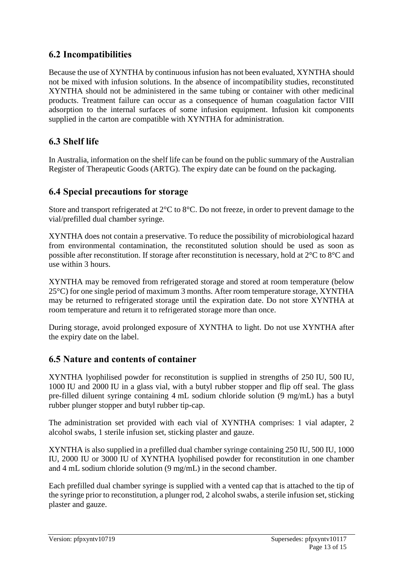### **6.2 Incompatibilities**

Because the use of XYNTHA by continuous infusion has not been evaluated, XYNTHA should not be mixed with infusion solutions. In the absence of incompatibility studies, reconstituted XYNTHA should not be administered in the same tubing or container with other medicinal products. Treatment failure can occur as a consequence of human coagulation factor VIII adsorption to the internal surfaces of some infusion equipment. Infusion kit components supplied in the carton are compatible with XYNTHA for administration.

# **6.3 Shelf life**

In Australia, information on the shelf life can be found on the public summary of the Australian Register of Therapeutic Goods (ARTG). The expiry date can be found on the packaging.

### **6.4 Special precautions for storage**

Store and transport refrigerated at 2°C to 8°C. Do not freeze, in order to prevent damage to the vial/prefilled dual chamber syringe.

XYNTHA does not contain a preservative. To reduce the possibility of microbiological hazard from environmental contamination, the reconstituted solution should be used as soon as possible after reconstitution. If storage after reconstitution is necessary, hold at 2°C to 8°C and use within 3 hours.

XYNTHA may be removed from refrigerated storage and stored at room temperature (below 25°C) for one single period of maximum 3 months. After room temperature storage, XYNTHA may be returned to refrigerated storage until the expiration date. Do not store XYNTHA at room temperature and return it to refrigerated storage more than once.

During storage, avoid prolonged exposure of XYNTHA to light. Do not use XYNTHA after the expiry date on the label.

### **6.5 Nature and contents of container**

XYNTHA lyophilised powder for reconstitution is supplied in strengths of 250 IU, 500 IU, 1000 IU and 2000 IU in a glass vial, with a butyl rubber stopper and flip off seal. The glass pre-filled diluent syringe containing 4 mL sodium chloride solution (9 mg/mL) has a butyl rubber plunger stopper and butyl rubber tip-cap.

The administration set provided with each vial of XYNTHA comprises: 1 vial adapter, 2 alcohol swabs, 1 sterile infusion set, sticking plaster and gauze.

XYNTHA is also supplied in a prefilled dual chamber syringe containing 250 IU, 500 IU, 1000 IU, 2000 IU or 3000 IU of XYNTHA lyophilised powder for reconstitution in one chamber and 4 mL sodium chloride solution (9 mg/mL) in the second chamber.

Each prefilled dual chamber syringe is supplied with a vented cap that is attached to the tip of the syringe prior to reconstitution, a plunger rod, 2 alcohol swabs, a sterile infusion set, sticking plaster and gauze.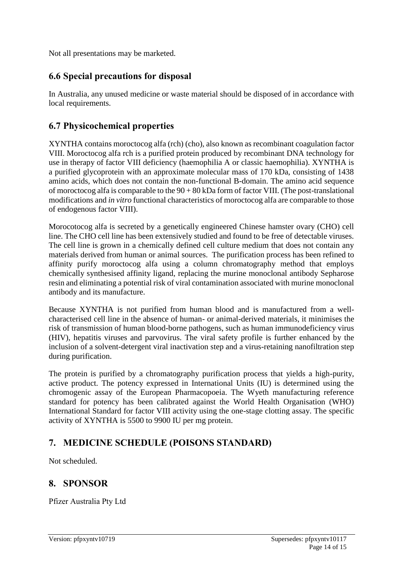Not all presentations may be marketed.

### **6.6 Special precautions for disposal**

In Australia, any unused medicine or waste material should be disposed of in accordance with local requirements.

### **6.7 Physicochemical properties**

XYNTHA contains moroctocog alfa (rch) (cho), also known as recombinant coagulation factor VIII. Moroctocog alfa rch is a purified protein produced by recombinant DNA technology for use in therapy of factor VIII deficiency (haemophilia A or classic haemophilia). XYNTHA is a purified glycoprotein with an approximate molecular mass of 170 kDa, consisting of 1438 amino acids, which does not contain the non-functional B-domain. The amino acid sequence of moroctocog alfa is comparable to the 90 + 80 kDa form of factor VIII. (The post-translational modifications and *in vitro* functional characteristics of moroctocog alfa are comparable to those of endogenous factor VIII).

Morocotocog alfa is secreted by a genetically engineered Chinese hamster ovary (CHO) cell line. The CHO cell line has been extensively studied and found to be free of detectable viruses. The cell line is grown in a chemically defined cell culture medium that does not contain any materials derived from human or animal sources. The purification process has been refined to affinity purify moroctocog alfa using a column chromatography method that employs chemically synthesised affinity ligand, replacing the murine monoclonal antibody Sepharose resin and eliminating a potential risk of viral contamination associated with murine monoclonal antibody and its manufacture.

Because XYNTHA is not purified from human blood and is manufactured from a wellcharacterised cell line in the absence of human- or animal-derived materials, it minimises the risk of transmission of human blood-borne pathogens, such as human immunodeficiency virus (HIV), hepatitis viruses and parvovirus. The viral safety profile is further enhanced by the inclusion of a solvent-detergent viral inactivation step and a virus-retaining nanofiltration step during purification.

The protein is purified by a chromatography purification process that yields a high-purity, active product. The potency expressed in International Units (IU) is determined using the chromogenic assay of the European Pharmacopoeia. The Wyeth manufacturing reference standard for potency has been calibrated against the World Health Organisation (WHO) International Standard for factor VIII activity using the one-stage clotting assay. The specific activity of XYNTHA is 5500 to 9900 IU per mg protein.

### **7. MEDICINE SCHEDULE (POISONS STANDARD)**

Not scheduled.

### **8. SPONSOR**

Pfizer Australia Pty Ltd